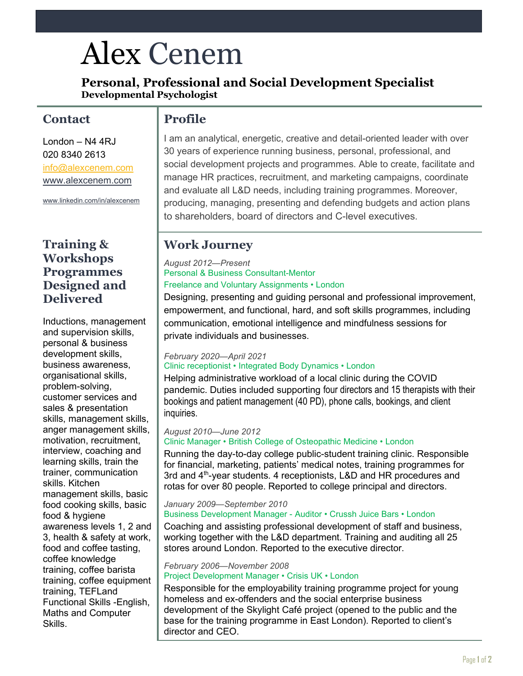# Alex Cenem

**Personal, Professional and Social Development Specialist Developmental Psychologist**

## **Contact**

London – N4 4RJ 020 8340 2613 [info@alexcenem.com](mailto:info@alexcenem.com) [www.alexcenem.com](http://www.alexcenem.com/)

[www.linkedin.com/in/alexcenem](http://www.linkedin.com/in/alexcenem)

### **Training & Workshops Programmes Designed and Delivered**

Inductions, management and supervision skills, personal & business development skills, business awareness, organisational skills, problem-solving, customer services and sales & presentation skills, management skills, anger management skills, motivation, recruitment, interview, coaching and learning skills, train the trainer, communication skills. Kitchen management skills, basic food cooking skills, basic food & hygiene awareness levels 1, 2 and 3, health & safety at work, food and coffee tasting, coffee knowledge training, coffee barista training, coffee equipment training, TEFLand Functional Skills -English, Maths and Computer Skills.

## **Profile**

I am an analytical, energetic, creative and detail-oriented leader with over 30 years of experience running business, personal, professional, and social development projects and programmes. Able to create, facilitate and manage HR practices, recruitment, and marketing campaigns, coordinate and evaluate all L&D needs, including training programmes. Moreover, producing, managing, presenting and defending budgets and action plans to shareholders, board of directors and C-level executives.

## **Work Journey**

#### *August 2012—Present* Personal & Business Consultant-Mentor Freelance and Voluntary Assignments • London

Designing, presenting and guiding personal and professional improvement, empowerment, and functional, hard, and soft skills programmes, including communication, emotional intelligence and mindfulness sessions for private individuals and businesses.

## *February 2020—April 2021*

#### Clinic receptionist • Integrated Body Dynamics • London

Helping administrative workload of a local clinic during the COVID pandemic. Duties included supporting four directors and 15 therapists with their bookings and patient management (40 PD), phone calls, bookings, and client inquiries.

#### *August 2010—June 2012*

#### Clinic Manager • British College of Osteopathic Medicine • London

Running the day-to-day college public-student training clinic. Responsible for financial, marketing, patients' medical notes, training programmes for 3rd and 4<sup>th</sup>-year students. 4 receptionists, L&D and HR procedures and rotas for over 80 people. Reported to college principal and directors.

#### *January 2009—September 2010* Business Development Manager - Auditor • Crussh Juice Bars • London

Coaching and assisting professional development of staff and business, working together with the L&D department. Training and auditing all 25 stores around London. Reported to the executive director.

#### *February 2006—November 2008* Project Development Manager • Crisis UK • London

Responsible for the employability training programme project for young homeless and ex-offenders and the social enterprise business development of the Skylight Café project (opened to the public and the base for the training programme in East London). Reported to client's director and CEO.